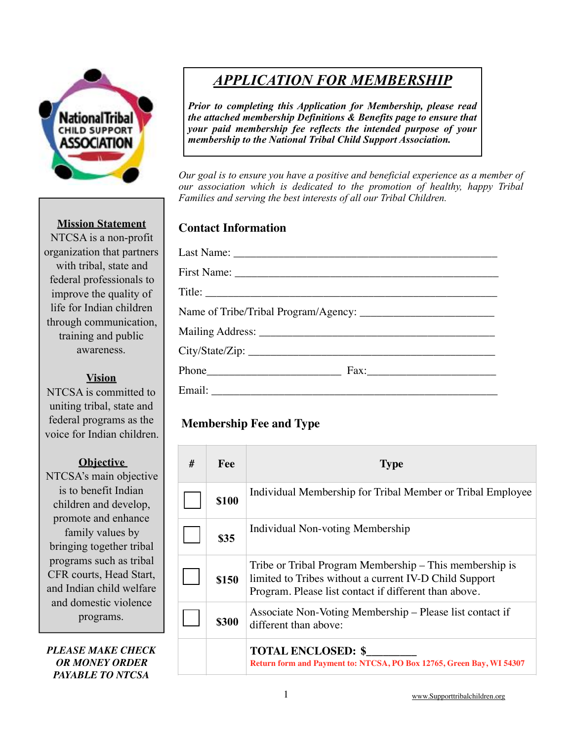

### **Mission Statement**

NTCSA is a non-profit organization that partners with tribal, state and federal professionals to improve the quality of life for Indian children through communication, training and public awareness.

### **Vision**

NTCSA is committed to uniting tribal, state and federal programs as the voice for Indian children.

#### **Objective**

NTCSA's main objective is to benefit Indian children and develop, promote and enhance family values by bringing together tribal programs such as tribal CFR courts, Head Start, and Indian child welfare and domestic violence programs.

*PLEASE MAKE CHECK OR MONEY ORDER PAYABLE TO NTCSA*

# *APPLICATION FOR MEMBERSHIP*

*Prior to completing this Application for Membership, please read the attached membership Definitions & Benefits page to ensure that your paid membership fee reflects the intended purpose of your membership to the National Tribal Child Support Association.*

*Our goal is to ensure you have a positive and beneficial experience as a member of our association which is dedicated to the promotion of healthy, happy Tribal Families and serving the best interests of all our Tribal Children.*

### **Contact Information**

| Title: |  |  |
|--------|--|--|
|        |  |  |
|        |  |  |
|        |  |  |
|        |  |  |
|        |  |  |

### **Membership Fee and Type**

| # | <b>Fee</b>   | <b>Type</b>                                                                                                                                                                |
|---|--------------|----------------------------------------------------------------------------------------------------------------------------------------------------------------------------|
|   | <b>\$100</b> | Individual Membership for Tribal Member or Tribal Employee                                                                                                                 |
|   | \$35         | Individual Non-voting Membership                                                                                                                                           |
|   | \$150        | Tribe or Tribal Program Membership – This membership is<br>limited to Tribes without a current IV-D Child Support<br>Program. Please list contact if different than above. |
|   | \$300        | Associate Non-Voting Membership – Please list contact if<br>different than above:                                                                                          |
|   |              | <b>TOTAL ENCLOSED: \$</b><br>Return form and Payment to: NTCSA, PO Box 12765, Green Bay, WI 54307                                                                          |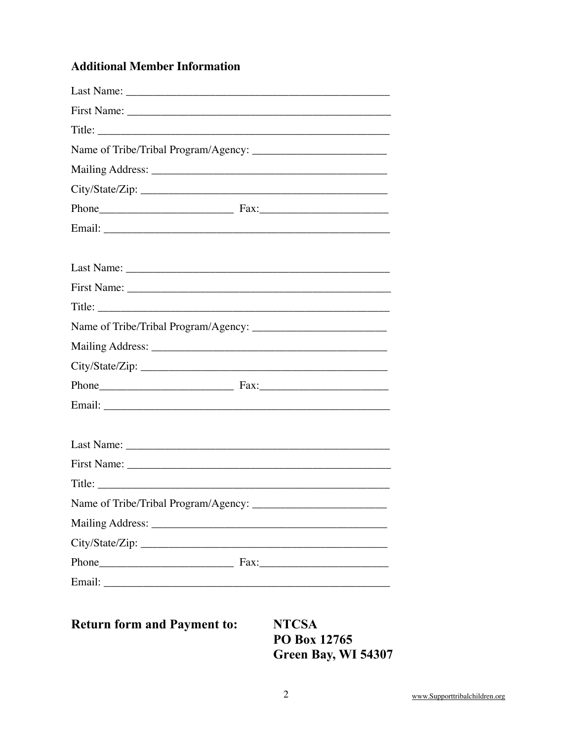## **Additional Member Information**

#### **Return form and Payment to: NTCSA** PO Box 12765 Green Bay, WI 54307